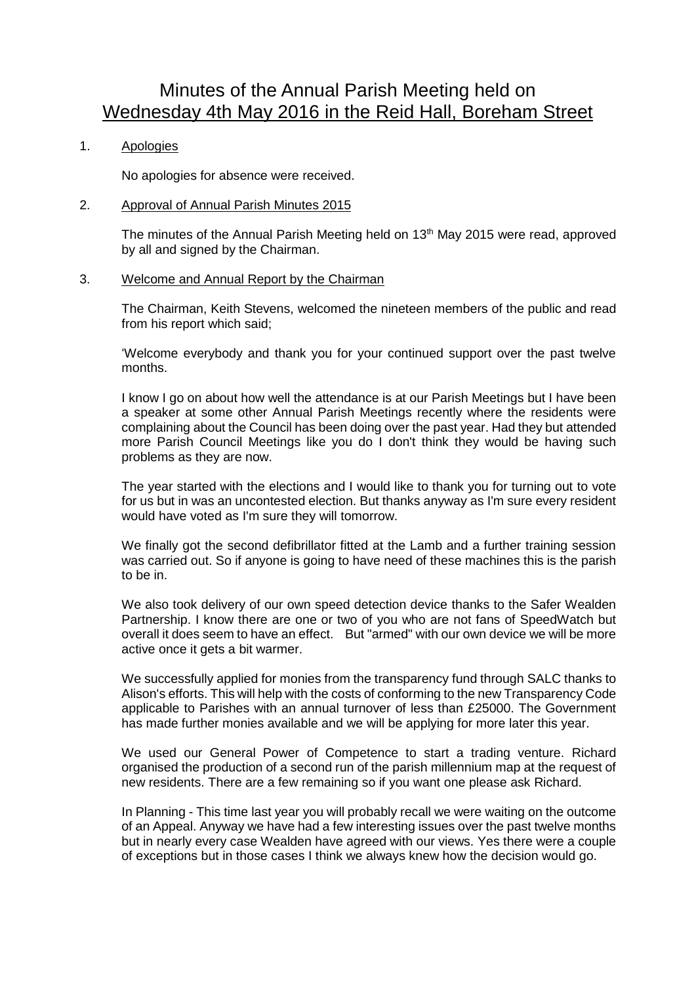# Minutes of the Annual Parish Meeting held on Wednesday 4th May 2016 in the Reid Hall, Boreham Street

# 1. Apologies

No apologies for absence were received.

## 2. Approval of Annual Parish Minutes 2015

The minutes of the Annual Parish Meeting held on 13<sup>th</sup> May 2015 were read, approved by all and signed by the Chairman.

#### 3. Welcome and Annual Report by the Chairman

The Chairman, Keith Stevens, welcomed the nineteen members of the public and read from his report which said;

'Welcome everybody and thank you for your continued support over the past twelve months.

I know I go on about how well the attendance is at our Parish Meetings but I have been a speaker at some other Annual Parish Meetings recently where the residents were complaining about the Council has been doing over the past year. Had they but attended more Parish Council Meetings like you do I don't think they would be having such problems as they are now.

The year started with the elections and I would like to thank you for turning out to vote for us but in was an uncontested election. But thanks anyway as I'm sure every resident would have voted as I'm sure they will tomorrow.

We finally got the second defibrillator fitted at the Lamb and a further training session was carried out. So if anyone is going to have need of these machines this is the parish to be in.

We also took delivery of our own speed detection device thanks to the Safer Wealden Partnership. I know there are one or two of you who are not fans of SpeedWatch but overall it does seem to have an effect. But "armed" with our own device we will be more active once it gets a bit warmer.

We successfully applied for monies from the transparency fund through SALC thanks to Alison's efforts. This will help with the costs of conforming to the new Transparency Code applicable to Parishes with an annual turnover of less than £25000. The Government has made further monies available and we will be applying for more later this year.

We used our General Power of Competence to start a trading venture. Richard organised the production of a second run of the parish millennium map at the request of new residents. There are a few remaining so if you want one please ask Richard.

In Planning - This time last year you will probably recall we were waiting on the outcome of an Appeal. Anyway we have had a few interesting issues over the past twelve months but in nearly every case Wealden have agreed with our views. Yes there were a couple of exceptions but in those cases I think we always knew how the decision would go.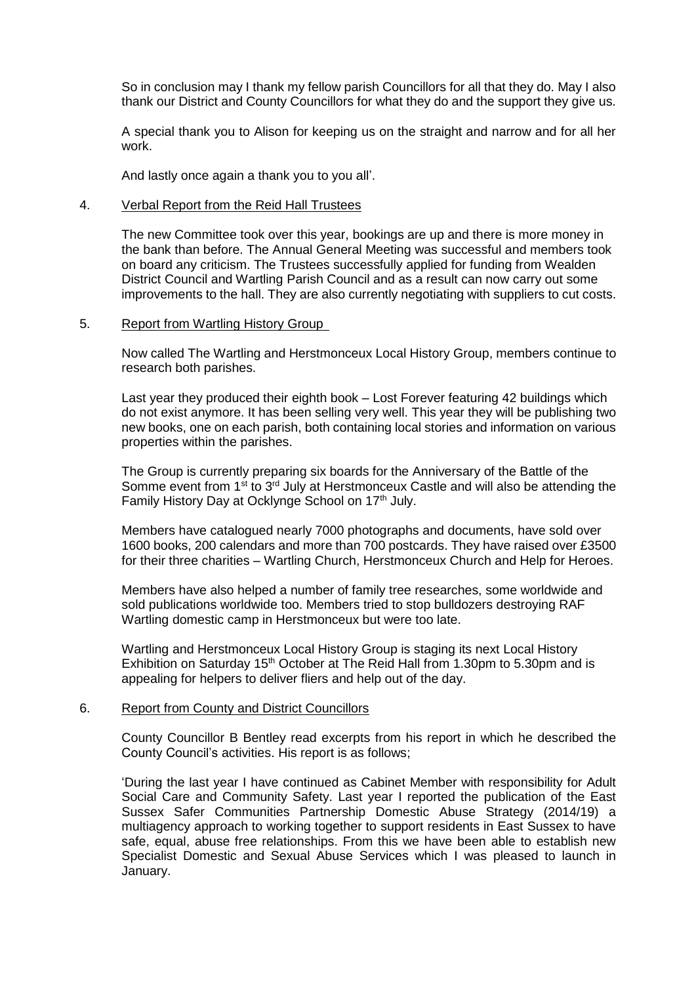So in conclusion may I thank my fellow parish Councillors for all that they do. May I also thank our District and County Councillors for what they do and the support they give us.

A special thank you to Alison for keeping us on the straight and narrow and for all her work.

And lastly once again a thank you to you all'.

#### 4. Verbal Report from the Reid Hall Trustees

The new Committee took over this year, bookings are up and there is more money in the bank than before. The Annual General Meeting was successful and members took on board any criticism. The Trustees successfully applied for funding from Wealden District Council and Wartling Parish Council and as a result can now carry out some improvements to the hall. They are also currently negotiating with suppliers to cut costs.

#### 5. Report from Wartling History Group

Now called The Wartling and Herstmonceux Local History Group, members continue to research both parishes.

Last year they produced their eighth book – Lost Forever featuring 42 buildings which do not exist anymore. It has been selling very well. This year they will be publishing two new books, one on each parish, both containing local stories and information on various properties within the parishes.

The Group is currently preparing six boards for the Anniversary of the Battle of the Somme event from  $1<sup>st</sup>$  to  $3<sup>rd</sup>$  July at Herstmonceux Castle and will also be attending the Family History Day at Ocklynge School on 17<sup>th</sup> July.

Members have catalogued nearly 7000 photographs and documents, have sold over 1600 books, 200 calendars and more than 700 postcards. They have raised over £3500 for their three charities – Wartling Church, Herstmonceux Church and Help for Heroes.

Members have also helped a number of family tree researches, some worldwide and sold publications worldwide too. Members tried to stop bulldozers destroying RAF Wartling domestic camp in Herstmonceux but were too late.

Wartling and Herstmonceux Local History Group is staging its next Local History Exhibition on Saturday 15<sup>th</sup> October at The Reid Hall from 1.30pm to 5.30pm and is appealing for helpers to deliver fliers and help out of the day.

#### 6. Report from County and District Councillors

County Councillor B Bentley read excerpts from his report in which he described the County Council's activities. His report is as follows;

'During the last year I have continued as Cabinet Member with responsibility for Adult Social Care and Community Safety. Last year I reported the publication of the East Sussex Safer Communities Partnership Domestic Abuse Strategy (2014/19) a multiagency approach to working together to support residents in East Sussex to have safe, equal, abuse free relationships. From this we have been able to establish new Specialist Domestic and Sexual Abuse Services which I was pleased to launch in January.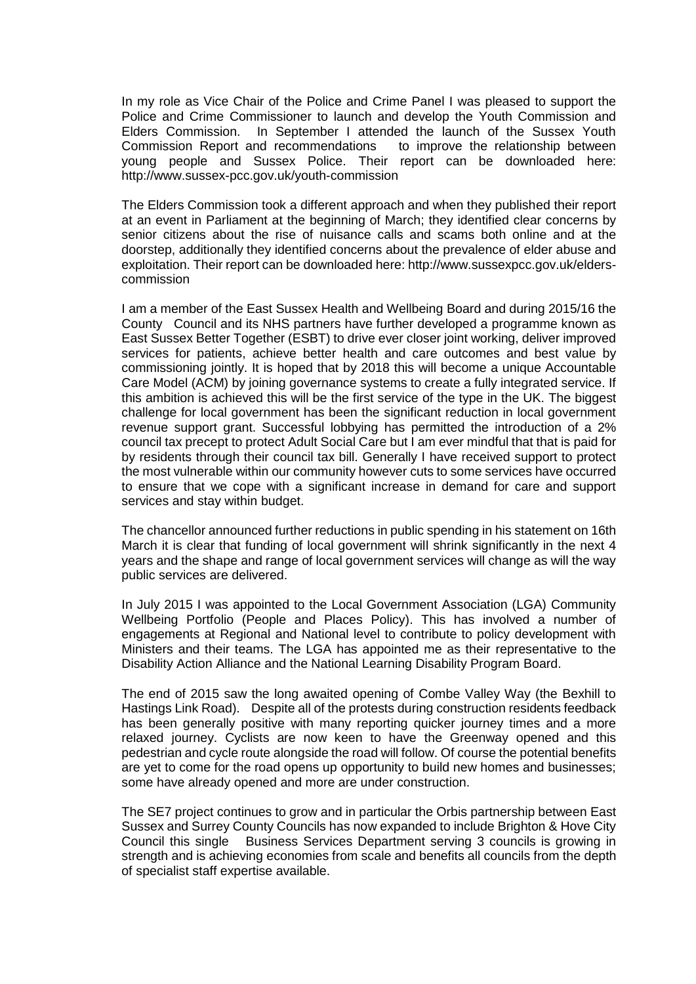In my role as Vice Chair of the Police and Crime Panel I was pleased to support the Police and Crime Commissioner to launch and develop the Youth Commission and Elders Commission. In September I attended the launch of the Sussex Youth Commission Report and recommendations to improve the relationship between young people and Sussex Police. Their report can be downloaded here: http://www.sussex-pcc.gov.uk/youth-commission

The Elders Commission took a different approach and when they published their report at an event in Parliament at the beginning of March; they identified clear concerns by senior citizens about the rise of nuisance calls and scams both online and at the doorstep, additionally they identified concerns about the prevalence of elder abuse and exploitation. Their report can be downloaded here: http://www.sussexpcc.gov.uk/elderscommission

I am a member of the East Sussex Health and Wellbeing Board and during 2015/16 the County Council and its NHS partners have further developed a programme known as East Sussex Better Together (ESBT) to drive ever closer joint working, deliver improved services for patients, achieve better health and care outcomes and best value by commissioning jointly. It is hoped that by 2018 this will become a unique Accountable Care Model (ACM) by joining governance systems to create a fully integrated service. If this ambition is achieved this will be the first service of the type in the UK. The biggest challenge for local government has been the significant reduction in local government revenue support grant. Successful lobbying has permitted the introduction of a 2% council tax precept to protect Adult Social Care but I am ever mindful that that is paid for by residents through their council tax bill. Generally I have received support to protect the most vulnerable within our community however cuts to some services have occurred to ensure that we cope with a significant increase in demand for care and support services and stay within budget.

The chancellor announced further reductions in public spending in his statement on 16th March it is clear that funding of local government will shrink significantly in the next 4 years and the shape and range of local government services will change as will the way public services are delivered.

In July 2015 I was appointed to the Local Government Association (LGA) Community Wellbeing Portfolio (People and Places Policy). This has involved a number of engagements at Regional and National level to contribute to policy development with Ministers and their teams. The LGA has appointed me as their representative to the Disability Action Alliance and the National Learning Disability Program Board.

The end of 2015 saw the long awaited opening of Combe Valley Way (the Bexhill to Hastings Link Road). Despite all of the protests during construction residents feedback has been generally positive with many reporting quicker journey times and a more relaxed journey. Cyclists are now keen to have the Greenway opened and this pedestrian and cycle route alongside the road will follow. Of course the potential benefits are yet to come for the road opens up opportunity to build new homes and businesses; some have already opened and more are under construction.

The SE7 project continues to grow and in particular the Orbis partnership between East Sussex and Surrey County Councils has now expanded to include Brighton & Hove City Council this single Business Services Department serving 3 councils is growing in strength and is achieving economies from scale and benefits all councils from the depth of specialist staff expertise available.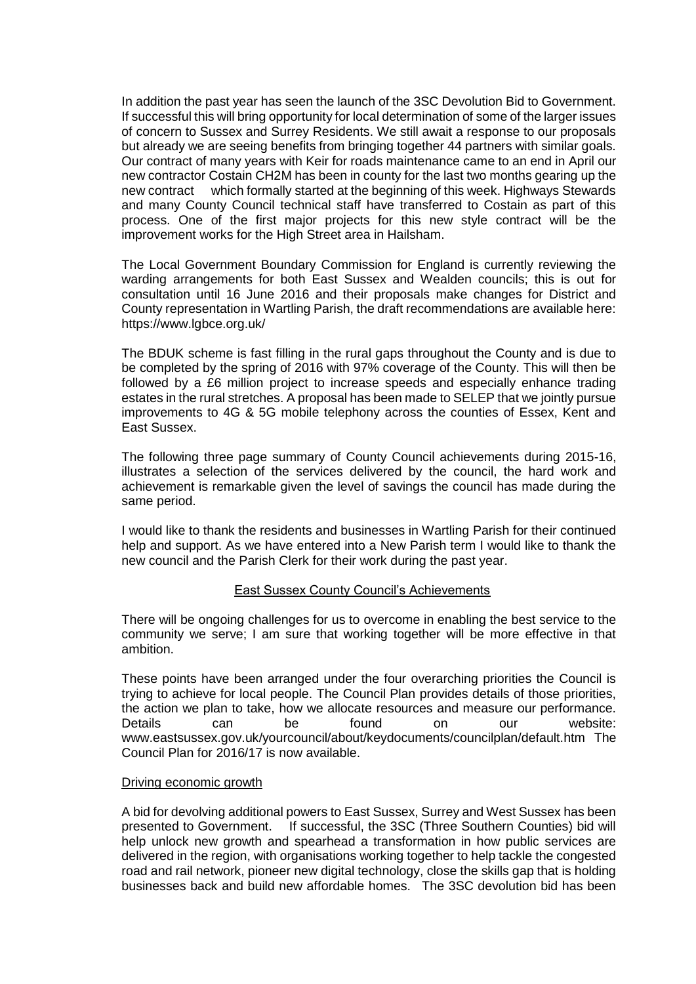In addition the past year has seen the launch of the 3SC Devolution Bid to Government. If successful this will bring opportunity for local determination of some of the larger issues of concern to Sussex and Surrey Residents. We still await a response to our proposals but already we are seeing benefits from bringing together 44 partners with similar goals. Our contract of many years with Keir for roads maintenance came to an end in April our new contractor Costain CH2M has been in county for the last two months gearing up the new contract which formally started at the beginning of this week. Highways Stewards and many County Council technical staff have transferred to Costain as part of this process. One of the first major projects for this new style contract will be the improvement works for the High Street area in Hailsham.

The Local Government Boundary Commission for England is currently reviewing the warding arrangements for both East Sussex and Wealden councils; this is out for consultation until 16 June 2016 and their proposals make changes for District and County representation in Wartling Parish, the draft recommendations are available here: https://www.lgbce.org.uk/

The BDUK scheme is fast filling in the rural gaps throughout the County and is due to be completed by the spring of 2016 with 97% coverage of the County. This will then be followed by a £6 million project to increase speeds and especially enhance trading estates in the rural stretches. A proposal has been made to SELEP that we jointly pursue improvements to 4G & 5G mobile telephony across the counties of Essex, Kent and East Sussex.

The following three page summary of County Council achievements during 2015-16, illustrates a selection of the services delivered by the council, the hard work and achievement is remarkable given the level of savings the council has made during the same period.

I would like to thank the residents and businesses in Wartling Parish for their continued help and support. As we have entered into a New Parish term I would like to thank the new council and the Parish Clerk for their work during the past year.

# East Sussex County Council's Achievements

There will be ongoing challenges for us to overcome in enabling the best service to the community we serve; I am sure that working together will be more effective in that ambition.

These points have been arranged under the four overarching priorities the Council is trying to achieve for local people. The Council Plan provides details of those priorities, the action we plan to take, how we allocate resources and measure our performance. Details can be found on our website: www.eastsussex.gov.uk/yourcouncil/about/keydocuments/councilplan/default.htm The Council Plan for 2016/17 is now available.

#### Driving economic growth

A bid for devolving additional powers to East Sussex, Surrey and West Sussex has been presented to Government. If successful, the 3SC (Three Southern Counties) bid will help unlock new growth and spearhead a transformation in how public services are delivered in the region, with organisations working together to help tackle the congested road and rail network, pioneer new digital technology, close the skills gap that is holding businesses back and build new affordable homes. The 3SC devolution bid has been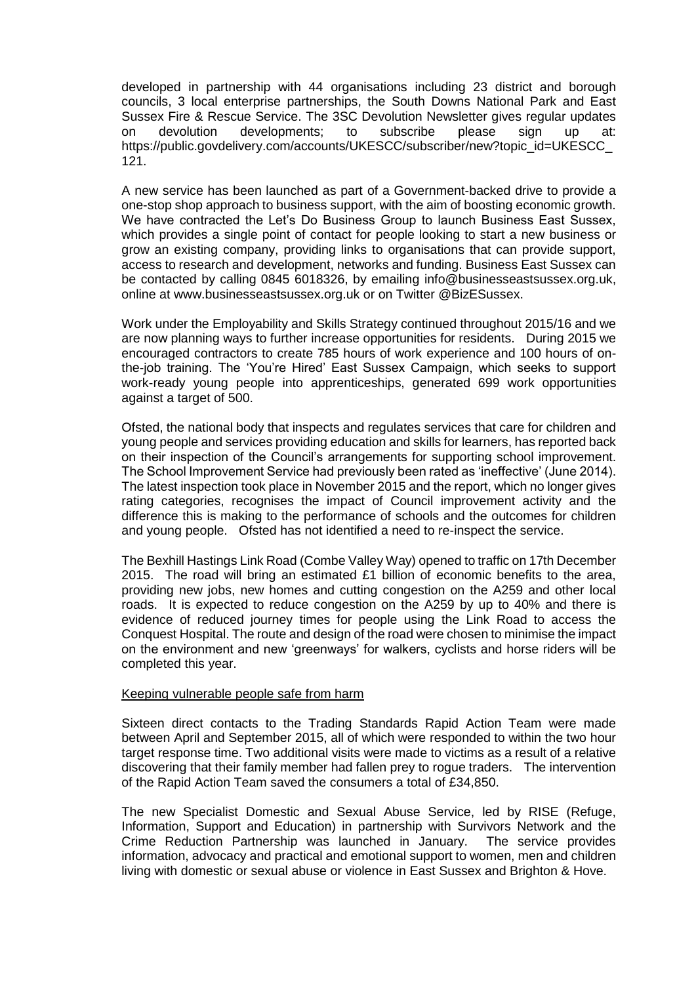developed in partnership with 44 organisations including 23 district and borough councils, 3 local enterprise partnerships, the South Downs National Park and East Sussex Fire & Rescue Service. The 3SC Devolution Newsletter gives regular updates on devolution developments; to subscribe please sign up at: https://public.govdelivery.com/accounts/UKESCC/subscriber/new?topic\_id=UKESCC\_ 121.

A new service has been launched as part of a Government-backed drive to provide a one-stop shop approach to business support, with the aim of boosting economic growth. We have contracted the Let's Do Business Group to launch Business East Sussex, which provides a single point of contact for people looking to start a new business or grow an existing company, providing links to organisations that can provide support, access to research and development, networks and funding. Business East Sussex can be contacted by calling 0845 6018326, by emailing info@businesseastsussex.org.uk, online at www.businesseastsussex.org.uk or on Twitter @BizESussex.

Work under the Employability and Skills Strategy continued throughout 2015/16 and we are now planning ways to further increase opportunities for residents. During 2015 we encouraged contractors to create 785 hours of work experience and 100 hours of onthe-job training. The 'You're Hired' East Sussex Campaign, which seeks to support work-ready young people into apprenticeships, generated 699 work opportunities against a target of 500.

Ofsted, the national body that inspects and regulates services that care for children and young people and services providing education and skills for learners, has reported back on their inspection of the Council's arrangements for supporting school improvement. The School Improvement Service had previously been rated as 'ineffective' (June 2014). The latest inspection took place in November 2015 and the report, which no longer gives rating categories, recognises the impact of Council improvement activity and the difference this is making to the performance of schools and the outcomes for children and young people. Ofsted has not identified a need to re-inspect the service.

The Bexhill Hastings Link Road (Combe Valley Way) opened to traffic on 17th December 2015. The road will bring an estimated  $£1$  billion of economic benefits to the area, providing new jobs, new homes and cutting congestion on the A259 and other local roads. It is expected to reduce congestion on the A259 by up to 40% and there is evidence of reduced journey times for people using the Link Road to access the Conquest Hospital. The route and design of the road were chosen to minimise the impact on the environment and new 'greenways' for walkers, cyclists and horse riders will be completed this year.

#### Keeping vulnerable people safe from harm

Sixteen direct contacts to the Trading Standards Rapid Action Team were made between April and September 2015, all of which were responded to within the two hour target response time. Two additional visits were made to victims as a result of a relative discovering that their family member had fallen prey to rogue traders. The intervention of the Rapid Action Team saved the consumers a total of £34,850.

The new Specialist Domestic and Sexual Abuse Service, led by RISE (Refuge, Information, Support and Education) in partnership with Survivors Network and the Crime Reduction Partnership was launched in January. The service provides information, advocacy and practical and emotional support to women, men and children living with domestic or sexual abuse or violence in East Sussex and Brighton & Hove.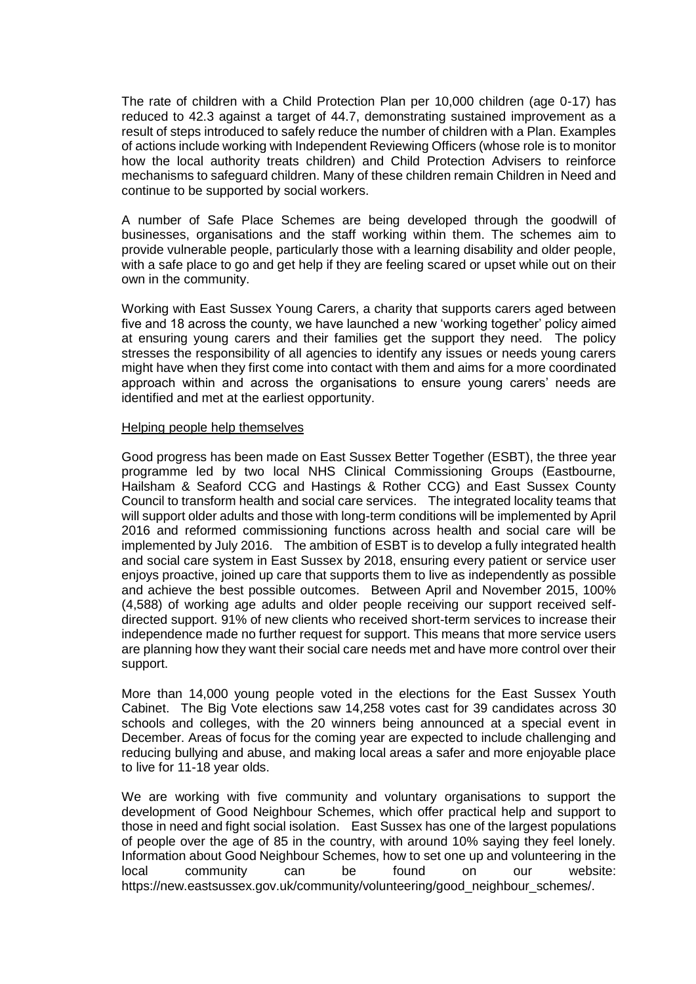The rate of children with a Child Protection Plan per 10,000 children (age 0-17) has reduced to 42.3 against a target of 44.7, demonstrating sustained improvement as a result of steps introduced to safely reduce the number of children with a Plan. Examples of actions include working with Independent Reviewing Officers (whose role is to monitor how the local authority treats children) and Child Protection Advisers to reinforce mechanisms to safeguard children. Many of these children remain Children in Need and continue to be supported by social workers.

A number of Safe Place Schemes are being developed through the goodwill of businesses, organisations and the staff working within them. The schemes aim to provide vulnerable people, particularly those with a learning disability and older people, with a safe place to go and get help if they are feeling scared or upset while out on their own in the community.

Working with East Sussex Young Carers, a charity that supports carers aged between five and 18 across the county, we have launched a new 'working together' policy aimed at ensuring young carers and their families get the support they need. The policy stresses the responsibility of all agencies to identify any issues or needs young carers might have when they first come into contact with them and aims for a more coordinated approach within and across the organisations to ensure young carers' needs are identified and met at the earliest opportunity.

#### Helping people help themselves

Good progress has been made on East Sussex Better Together (ESBT), the three year programme led by two local NHS Clinical Commissioning Groups (Eastbourne, Hailsham & Seaford CCG and Hastings & Rother CCG) and East Sussex County Council to transform health and social care services. The integrated locality teams that will support older adults and those with long-term conditions will be implemented by April 2016 and reformed commissioning functions across health and social care will be implemented by July 2016. The ambition of ESBT is to develop a fully integrated health and social care system in East Sussex by 2018, ensuring every patient or service user enjoys proactive, joined up care that supports them to live as independently as possible and achieve the best possible outcomes. Between April and November 2015, 100% (4,588) of working age adults and older people receiving our support received selfdirected support. 91% of new clients who received short-term services to increase their independence made no further request for support. This means that more service users are planning how they want their social care needs met and have more control over their support.

More than 14,000 young people voted in the elections for the East Sussex Youth Cabinet. The Big Vote elections saw 14,258 votes cast for 39 candidates across 30 schools and colleges, with the 20 winners being announced at a special event in December. Areas of focus for the coming year are expected to include challenging and reducing bullying and abuse, and making local areas a safer and more enjoyable place to live for 11-18 year olds.

We are working with five community and voluntary organisations to support the development of Good Neighbour Schemes, which offer practical help and support to those in need and fight social isolation. East Sussex has one of the largest populations of people over the age of 85 in the country, with around 10% saying they feel lonely. Information about Good Neighbour Schemes, how to set one up and volunteering in the local community can be found on our website: https://new.eastsussex.gov.uk/community/volunteering/good\_neighbour\_schemes/.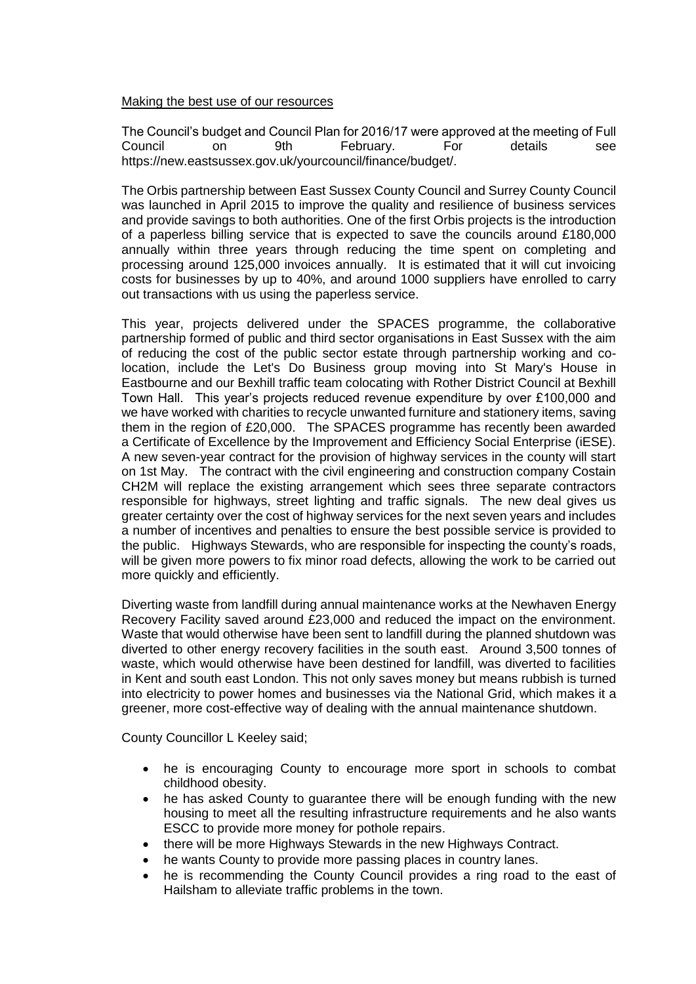## Making the best use of our resources

The Council's budget and Council Plan for 2016/17 were approved at the meeting of Full Council on 9th February. For details see https://new.eastsussex.gov.uk/yourcouncil/finance/budget/.

The Orbis partnership between East Sussex County Council and Surrey County Council was launched in April 2015 to improve the quality and resilience of business services and provide savings to both authorities. One of the first Orbis projects is the introduction of a paperless billing service that is expected to save the councils around £180,000 annually within three years through reducing the time spent on completing and processing around 125,000 invoices annually. It is estimated that it will cut invoicing costs for businesses by up to 40%, and around 1000 suppliers have enrolled to carry out transactions with us using the paperless service.

This year, projects delivered under the SPACES programme, the collaborative partnership formed of public and third sector organisations in East Sussex with the aim of reducing the cost of the public sector estate through partnership working and colocation, include the Let's Do Business group moving into St Mary's House in Eastbourne and our Bexhill traffic team colocating with Rother District Council at Bexhill Town Hall. This year's projects reduced revenue expenditure by over £100,000 and we have worked with charities to recycle unwanted furniture and stationery items, saving them in the region of £20,000. The SPACES programme has recently been awarded a Certificate of Excellence by the Improvement and Efficiency Social Enterprise (iESE). A new seven-year contract for the provision of highway services in the county will start on 1st May. The contract with the civil engineering and construction company Costain CH2M will replace the existing arrangement which sees three separate contractors responsible for highways, street lighting and traffic signals. The new deal gives us greater certainty over the cost of highway services for the next seven years and includes a number of incentives and penalties to ensure the best possible service is provided to the public. Highways Stewards, who are responsible for inspecting the county's roads, will be given more powers to fix minor road defects, allowing the work to be carried out more quickly and efficiently.

Diverting waste from landfill during annual maintenance works at the Newhaven Energy Recovery Facility saved around £23,000 and reduced the impact on the environment. Waste that would otherwise have been sent to landfill during the planned shutdown was diverted to other energy recovery facilities in the south east. Around 3,500 tonnes of waste, which would otherwise have been destined for landfill, was diverted to facilities in Kent and south east London. This not only saves money but means rubbish is turned into electricity to power homes and businesses via the National Grid, which makes it a greener, more cost-effective way of dealing with the annual maintenance shutdown.

County Councillor L Keeley said;

- he is encouraging County to encourage more sport in schools to combat childhood obesity.
- he has asked County to guarantee there will be enough funding with the new housing to meet all the resulting infrastructure requirements and he also wants ESCC to provide more money for pothole repairs.
- there will be more Highways Stewards in the new Highways Contract.
- he wants County to provide more passing places in country lanes.
- he is recommending the County Council provides a ring road to the east of Hailsham to alleviate traffic problems in the town.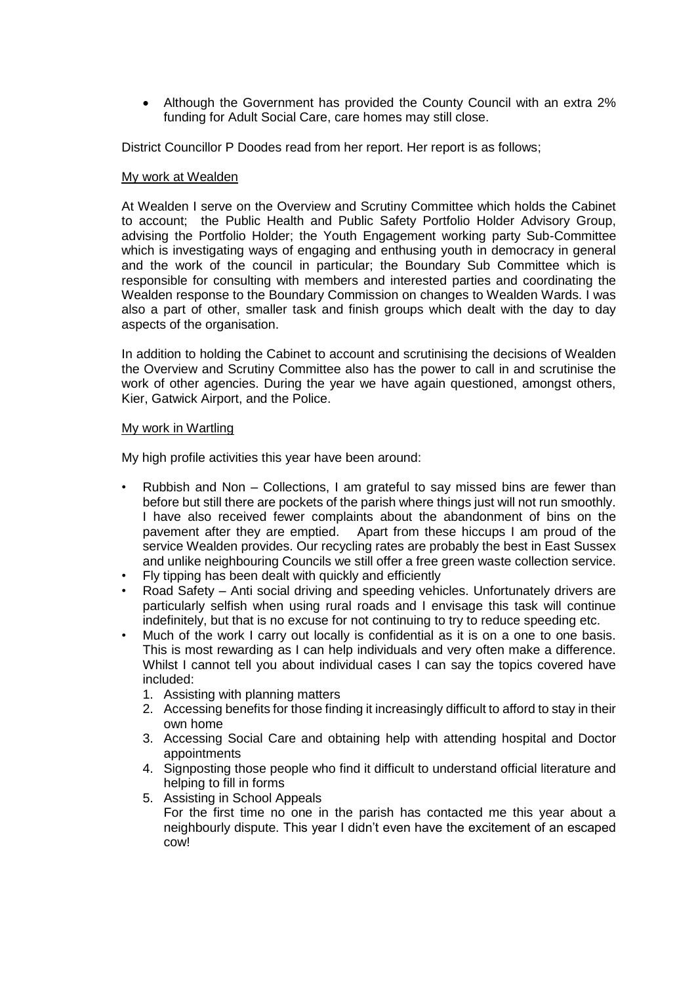Although the Government has provided the County Council with an extra 2% funding for Adult Social Care, care homes may still close.

District Councillor P Doodes read from her report. Her report is as follows;

## My work at Wealden

At Wealden I serve on the Overview and Scrutiny Committee which holds the Cabinet to account; the Public Health and Public Safety Portfolio Holder Advisory Group, advising the Portfolio Holder; the Youth Engagement working party Sub-Committee which is investigating ways of engaging and enthusing youth in democracy in general and the work of the council in particular; the Boundary Sub Committee which is responsible for consulting with members and interested parties and coordinating the Wealden response to the Boundary Commission on changes to Wealden Wards. I was also a part of other, smaller task and finish groups which dealt with the day to day aspects of the organisation.

In addition to holding the Cabinet to account and scrutinising the decisions of Wealden the Overview and Scrutiny Committee also has the power to call in and scrutinise the work of other agencies. During the year we have again questioned, amongst others, Kier, Gatwick Airport, and the Police.

# My work in Wartling

My high profile activities this year have been around:

- Rubbish and Non Collections, I am grateful to say missed bins are fewer than before but still there are pockets of the parish where things just will not run smoothly. I have also received fewer complaints about the abandonment of bins on the pavement after they are emptied. Apart from these hiccups I am proud of the service Wealden provides. Our recycling rates are probably the best in East Sussex and unlike neighbouring Councils we still offer a free green waste collection service.
- Fly tipping has been dealt with quickly and efficiently
- Road Safety Anti social driving and speeding vehicles. Unfortunately drivers are particularly selfish when using rural roads and I envisage this task will continue indefinitely, but that is no excuse for not continuing to try to reduce speeding etc.
- Much of the work I carry out locally is confidential as it is on a one to one basis. This is most rewarding as I can help individuals and very often make a difference. Whilst I cannot tell you about individual cases I can say the topics covered have included:
	- 1. Assisting with planning matters
	- 2. Accessing benefits for those finding it increasingly difficult to afford to stay in their own home
	- 3. Accessing Social Care and obtaining help with attending hospital and Doctor appointments
	- 4. Signposting those people who find it difficult to understand official literature and helping to fill in forms
	- 5. Assisting in School Appeals For the first time no one in the parish has contacted me this year about a neighbourly dispute. This year I didn't even have the excitement of an escaped cow!